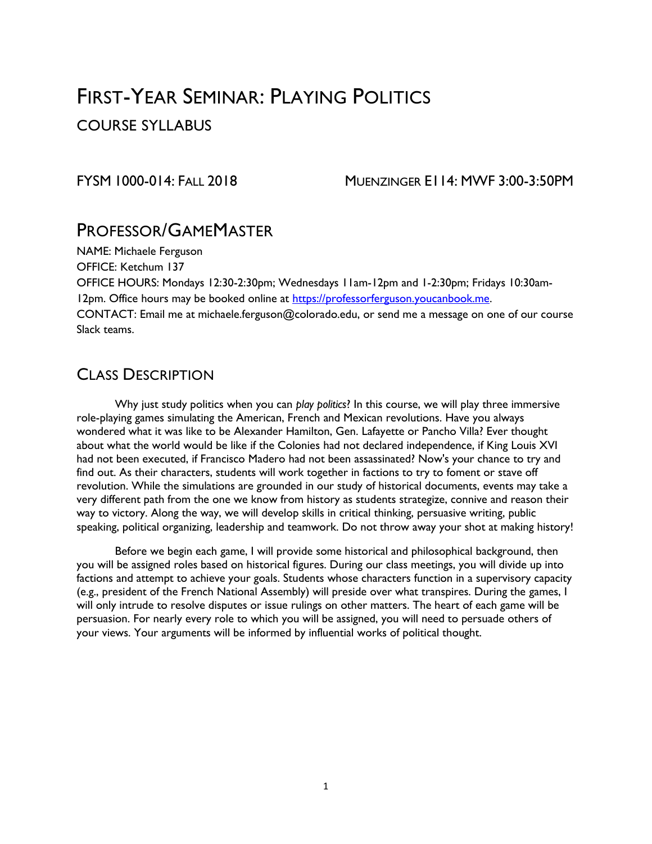# FIRST-YEAR SEMINAR: PLAYING POLITICS

COURSE SYLLABUS

FYSM 1000-014: FALL 2018 MUENZINGER E114: MWF 3:00-3:50PM

### PROFESSOR/GAMEMASTER

NAME: Michaele Ferguson

OFFICE: Ketchum 137

OFFICE HOURS: Mondays 12:30-2:30pm; Wednesdays 11am-12pm and 1-2:30pm; Fridays 10:30am12pm. Office hours may be booked online at [https://professorferguson.youcanbook.me.](https://professorferguson.youcanbook.me/) CONTACT: Email me at michaele.ferguson@colorado.edu, or send me a message on one of our course

Slack teams.

### CLASS DESCRIPTION

Why just study politics when you can *play politics*? In this course, we will play three immersive role-playing games simulating the American, French and Mexican revolutions. Have you always wondered what it was like to be Alexander Hamilton, Gen. Lafayette or Pancho Villa? Ever thought about what the world would be like if the Colonies had not declared independence, if King Louis XVI had not been executed, if Francisco Madero had not been assassinated? Now's your chance to try and find out. As their characters, students will work together in factions to try to foment or stave off revolution. While the simulations are grounded in our study of historical documents, events may take a very different path from the one we know from history as students strategize, connive and reason their way to victory. Along the way, we will develop skills in critical thinking, persuasive writing, public speaking, political organizing, leadership and teamwork. Do not throw away your shot at making history!

Before we begin each game, I will provide some historical and philosophical background, then you will be assigned roles based on historical figures. During our class meetings, you will divide up into factions and attempt to achieve your goals. Students whose characters function in a supervisory capacity (e.g., president of the French National Assembly) will preside over what transpires. During the games, I will only intrude to resolve disputes or issue rulings on other matters. The heart of each game will be persuasion. For nearly every role to which you will be assigned, you will need to persuade others of your views. Your arguments will be informed by influential works of political thought.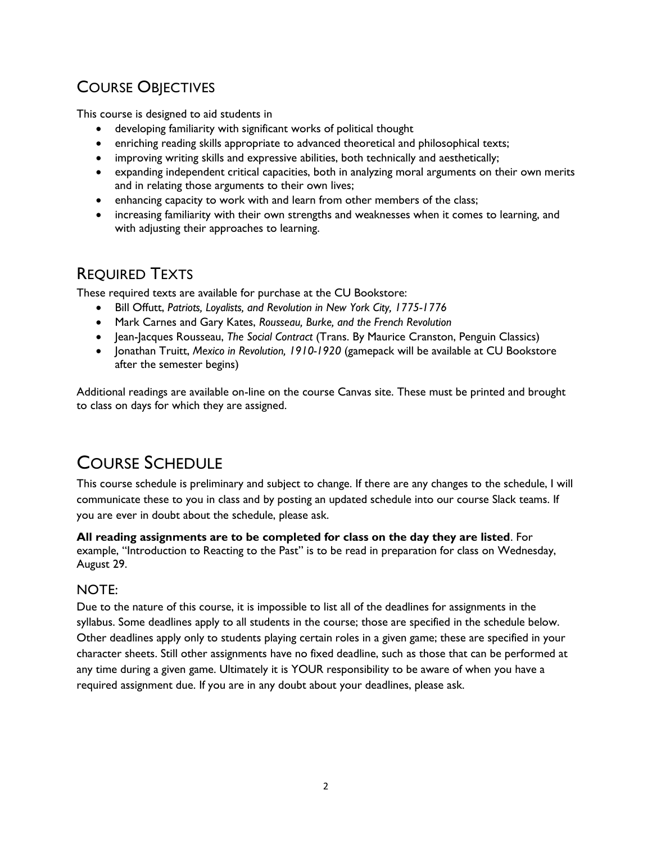# COURSE OBJECTIVES

This course is designed to aid students in

- developing familiarity with significant works of political thought
- enriching reading skills appropriate to advanced theoretical and philosophical texts;
- improving writing skills and expressive abilities, both technically and aesthetically;
- expanding independent critical capacities, both in analyzing moral arguments on their own merits and in relating those arguments to their own lives;
- enhancing capacity to work with and learn from other members of the class;
- increasing familiarity with their own strengths and weaknesses when it comes to learning, and with adjusting their approaches to learning.

### REQUIRED TEXTS

These required texts are available for purchase at the CU Bookstore:

- Bill Offutt, *Patriots, Loyalists, and Revolution in New York City, 1775-1776*
- Mark Carnes and Gary Kates, *Rousseau, Burke, and the French Revolution*
- Jean-Jacques Rousseau, *The Social Contract* (Trans. By Maurice Cranston, Penguin Classics)
- Jonathan Truitt, *Mexico in Revolution, 1910-1920* (gamepack will be available at CU Bookstore after the semester begins)

Additional readings are available on-line on the course Canvas site. These must be printed and brought to class on days for which they are assigned.

# COURSE SCHEDULE

This course schedule is preliminary and subject to change. If there are any changes to the schedule, I will communicate these to you in class and by posting an updated schedule into our course Slack teams. If you are ever in doubt about the schedule, please ask.

**All reading assignments are to be completed for class on the day they are listed**. For example, "Introduction to Reacting to the Past" is to be read in preparation for class on Wednesday, August 29.

### NOTE:

Due to the nature of this course, it is impossible to list all of the deadlines for assignments in the syllabus. Some deadlines apply to all students in the course; those are specified in the schedule below. Other deadlines apply only to students playing certain roles in a given game; these are specified in your character sheets. Still other assignments have no fixed deadline, such as those that can be performed at any time during a given game. Ultimately it is YOUR responsibility to be aware of when you have a required assignment due. If you are in any doubt about your deadlines, please ask.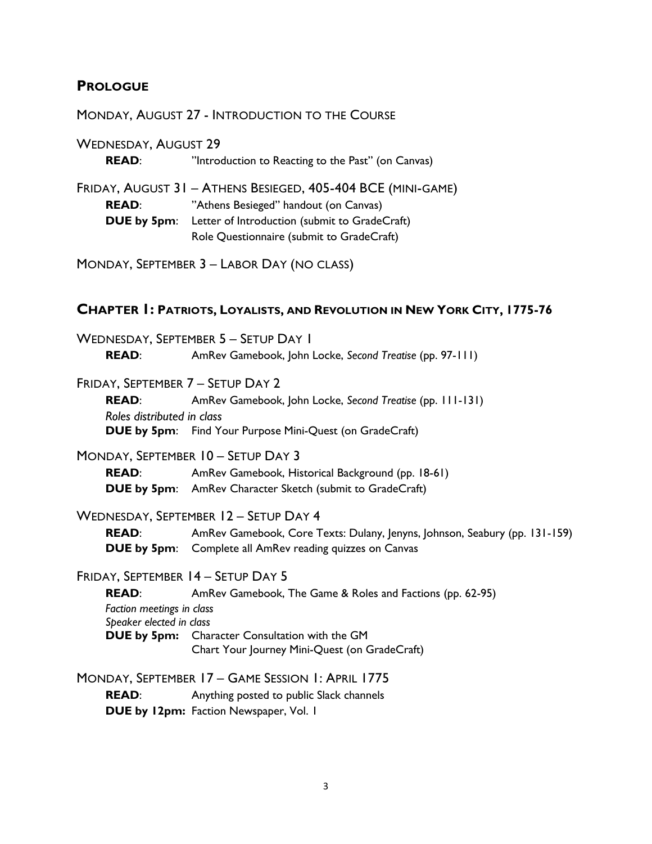#### **PROLOGUE**

#### MONDAY, AUGUST 27 - INTRODUCTION TO THE COURSE

WEDNESDAY, AUGUST 29 **READ:** "Introduction to Reacting to the Past" (on Canvas) FRIDAY, AUGUST 31 – ATHENS BESIEGED, 405-404 BCE (MINI-GAME) **READ**: "Athens Besieged" handout (on Canvas) **DUE by 5pm**: Letter of Introduction (submit to GradeCraft) Role Questionnaire (submit to GradeCraft)

MONDAY, SEPTEMBER 3 – LABOR DAY (NO CLASS)

#### **CHAPTER 1: PATRIOTS, LOYALISTS, AND REVOLUTION IN NEW YORK CITY, 1775-76**

WEDNESDAY, SEPTEMBER 5 – SETUP DAY 1 **READ**: AmRev Gamebook, John Locke, *Second Treatise* (pp. 97-111)

### FRIDAY, SEPTEMBER 7 – SETUP DAY 2

**READ**: AmRev Gamebook, John Locke, *Second Treatise* (pp. 111-131) *Roles distributed in class* **DUE by 5pm:** Find Your Purpose Mini-Quest (on GradeCraft)

#### MONDAY, SEPTEMBER 10 – SETUP DAY 3

**READ:** AmRev Gamebook, Historical Background (pp. 18-61) **DUE by 5pm**: AmRev Character Sketch (submit to GradeCraft)

#### WEDNESDAY, SEPTEMBER 12 – SETUP DAY 4

**READ**: AmRev Gamebook, Core Texts: Dulany, Jenyns, Johnson, Seabury (pp. 131-159) **DUE by 5pm**: Complete all AmRev reading quizzes on Canvas

#### FRIDAY, SEPTEMBER 14 – SETUP DAY 5

**READ**: AmRev Gamebook, The Game & Roles and Factions (pp. 62-95) *Faction meetings in class Speaker elected in class* **DUE by 5pm:** Character Consultation with the GM Chart Your Journey Mini-Quest (on GradeCraft)

MONDAY, SEPTEMBER 17 – GAME SESSION 1: APRIL 1775 **READ:** Anything posted to public Slack channels **DUE by 12pm:** Faction Newspaper, Vol. 1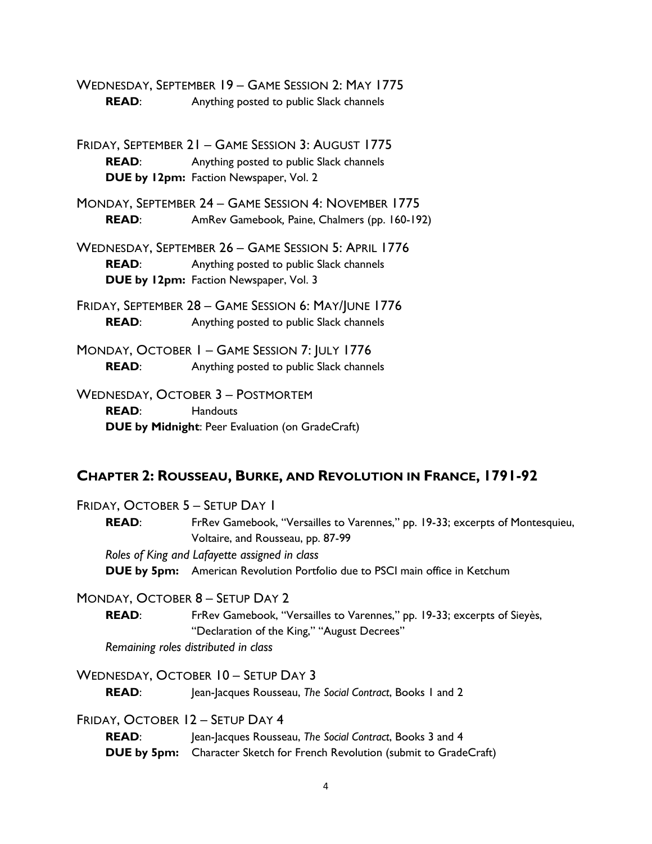WEDNESDAY, SEPTEMBER 19 – GAME SESSION 2: MAY 1775 **READ:** Anything posted to public Slack channels

FRIDAY, SEPTEMBER 21 – GAME SESSION 3: AUGUST 1775 **READ:** Anything posted to public Slack channels **DUE by 12pm:** Faction Newspaper, Vol. 2

MONDAY, SEPTEMBER 24 – GAME SESSION 4: NOVEMBER 1775 **READ**: AmRev Gamebook*,* Paine, Chalmers (pp. 160-192)

WEDNESDAY, SEPTEMBER 26 – GAME SESSION 5: APRIL 1776 **READ:** Anything posted to public Slack channels **DUE by 12pm:** Faction Newspaper, Vol. 3

FRIDAY, SEPTEMBER 28 – GAME SESSION 6: MAY/JUNE 1776 **READ:** Anything posted to public Slack channels

MONDAY, OCTOBER 1 – GAME SESSION 7: JULY 1776 **READ:** Anything posted to public Slack channels

WEDNESDAY, OCTOBER 3 – POSTMORTEM **READ**: Handouts **DUE by Midnight**: Peer Evaluation (on GradeCraft)

#### **CHAPTER 2: ROUSSEAU, BURKE, AND REVOLUTION IN FRANCE, 1791-92**

FRIDAY, OCTOBER 5 – SETUP DAY 1

**READ:** FrRev Gamebook, "Versailles to Varennes," pp. 19-33; excerpts of Montesquieu, Voltaire, and Rousseau, pp. 87-99

*Roles of King and Lafayette assigned in class*

**DUE by 5pm:** American Revolution Portfolio due to PSCI main office in Ketchum

MONDAY, OCTOBER 8 – SETUP DAY 2

READ: FrRev Gamebook, "Versailles to Varennes," pp. 19-33; excerpts of Sieyès, "Declaration of the King," "August Decrees"

*Remaining roles distributed in class*

WEDNESDAY, OCTOBER 10 – SETUP DAY 3 **READ:** Jean-Jacques Rousseau, *The Social Contract*, Books 1 and 2

FRIDAY, OCTOBER 12 – SETUP DAY 4

**READ:** Jean-Jacques Rousseau, *The Social Contract*, Books 3 and 4 **DUE by 5pm:** Character Sketch for French Revolution (submit to GradeCraft)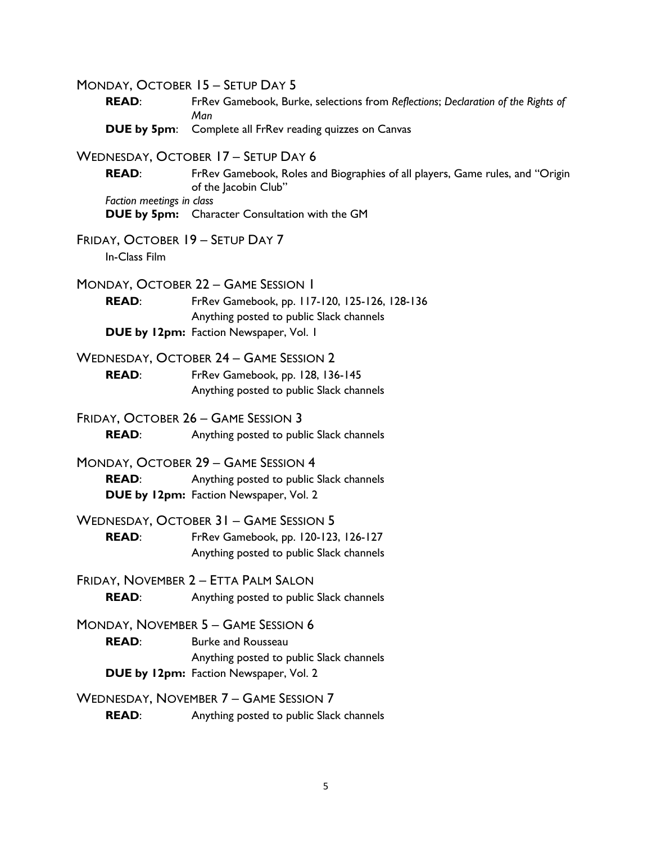MONDAY, OCTOBER 15 – SETUP DAY 5 **READ**: FrRev Gamebook, Burke, selections from *Reflections*; *Declaration of the Rights of Man* **DUE by 5pm**: Complete all FrRev reading quizzes on Canvas WEDNESDAY, OCTOBER 17 – SETUP DAY 6 **READ:** FrRev Gamebook, Roles and Biographies of all players, Game rules, and "Origin of the Jacobin Club" *Faction meetings in class* **DUE by 5pm:** Character Consultation with the GM FRIDAY, OCTOBER 19 – SETUP DAY 7 In-Class Film MONDAY, OCTOBER 22 – GAME SESSION 1 **READ**: FrRev Gamebook, pp. 117-120, 125-126, 128-136 Anything posted to public Slack channels **DUE by 12pm:** Faction Newspaper, Vol. 1 WEDNESDAY, OCTOBER 24 – GAME SESSION 2 **READ**: FrRev Gamebook, pp. 128, 136-145 Anything posted to public Slack channels FRIDAY, OCTOBER 26 – GAME SESSION 3 **READ:** Anything posted to public Slack channels MONDAY, OCTOBER 29 – GAME SESSION 4 **READ:** Anything posted to public Slack channels **DUE by 12pm:** Faction Newspaper, Vol. 2 WEDNESDAY, OCTOBER 31 – GAME SESSION 5 **READ**: FrRev Gamebook, pp. 120-123, 126-127 Anything posted to public Slack channels FRIDAY, NOVEMBER 2 – ETTA PALM SALON **READ:** Anything posted to public Slack channels MONDAY, NOVEMBER 5 – GAME SESSION 6 **READ:** Burke and Rousseau Anything posted to public Slack channels **DUE by 12pm:** Faction Newspaper, Vol. 2 WEDNESDAY, NOVEMBER 7 – GAME SESSION 7 **READ:** Anything posted to public Slack channels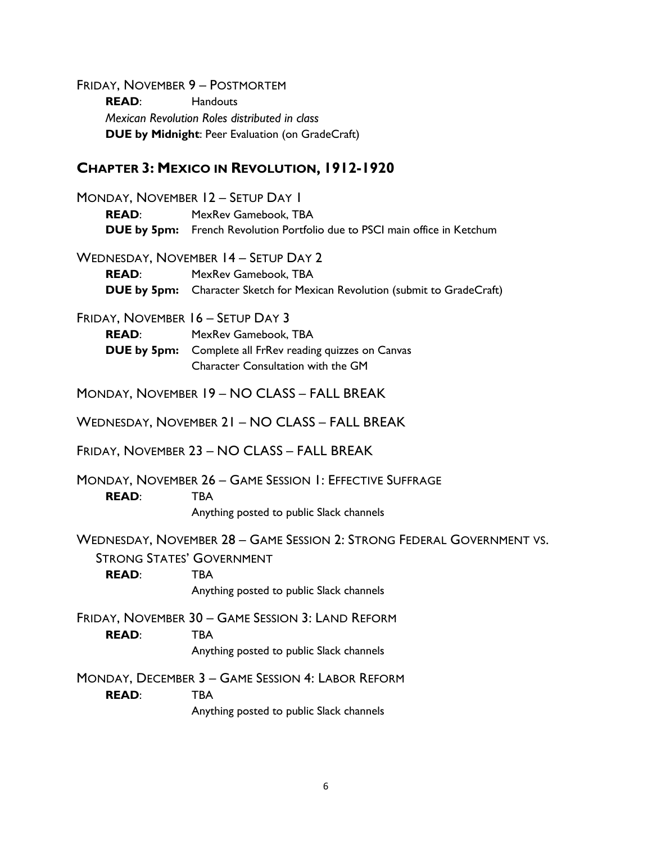FRIDAY, NOVEMBER 9 – POSTMORTEM **READ**: Handouts *Mexican Revolution Roles distributed in class* **DUE by Midnight**: Peer Evaluation (on GradeCraft)

#### **CHAPTER 3: MEXICO IN REVOLUTION, 1912-1920**

MONDAY, NOVEMBER 12 – SETUP DAY 1 **READ**: MexRev Gamebook, TBA **DUE by 5pm:** French Revolution Portfolio due to PSCI main office in Ketchum WEDNESDAY, NOVEMBER 14 – SETUP DAY 2 **READ**: MexRev Gamebook, TBA **DUE by 5pm:** Character Sketch for Mexican Revolution (submit to GradeCraft) FRIDAY, NOVEMBER 16 – SETUP DAY 3 **READ**: MexRev Gamebook, TBA **DUE by 5pm:** Complete all FrRev reading quizzes on Canvas Character Consultation with the GM MONDAY, NOVEMBER 19 – NO CLASS – FALL BREAK WEDNESDAY, NOVEMBER 21 – NO CLASS – FALL BREAK FRIDAY, NOVEMBER 23 – NO CLASS – FALL BREAK MONDAY, NOVEMBER 26 – GAME SESSION 1: EFFECTIVE SUFFRAGE **READ**: TBA Anything posted to public Slack channels WEDNESDAY, NOVEMBER 28 – GAME SESSION 2: STRONG FEDERAL GOVERNMENT VS. STRONG STATES' GOVERNMENT **READ**: TBA Anything posted to public Slack channels FRIDAY, NOVEMBER 30 – GAME SESSION 3: LAND REFORM **READ**: TBA Anything posted to public Slack channels MONDAY, DECEMBER 3 – GAME SESSION 4: LABOR REFORM **READ**: TBA Anything posted to public Slack channels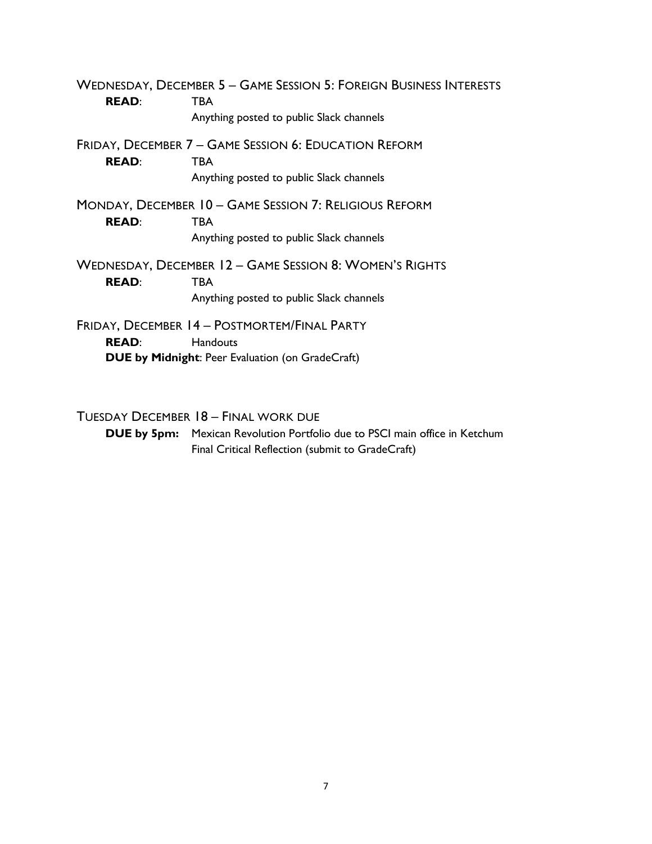WEDNESDAY, DECEMBER 5 – GAME SESSION 5: FOREIGN BUSINESS INTERESTS **READ**: TBA Anything posted to public Slack channels FRIDAY, DECEMBER 7 – GAME SESSION 6: EDUCATION REFORM **READ**: TBA Anything posted to public Slack channels MONDAY, DECEMBER 10 – GAME SESSION 7: RELIGIOUS REFORM **READ**: TBA Anything posted to public Slack channels WEDNESDAY, DECEMBER 12 – GAME SESSION 8: WOMEN'S RIGHTS **READ**: TBA Anything posted to public Slack channels FRIDAY, DECEMBER 14 – POSTMORTEM/FINAL PARTY **READ**: Handouts **DUE by Midnight**: Peer Evaluation (on GradeCraft)

TUESDAY DECEMBER 18 – FINAL WORK DUE

**DUE by 5pm:** Mexican Revolution Portfolio due to PSCI main office in Ketchum Final Critical Reflection (submit to GradeCraft)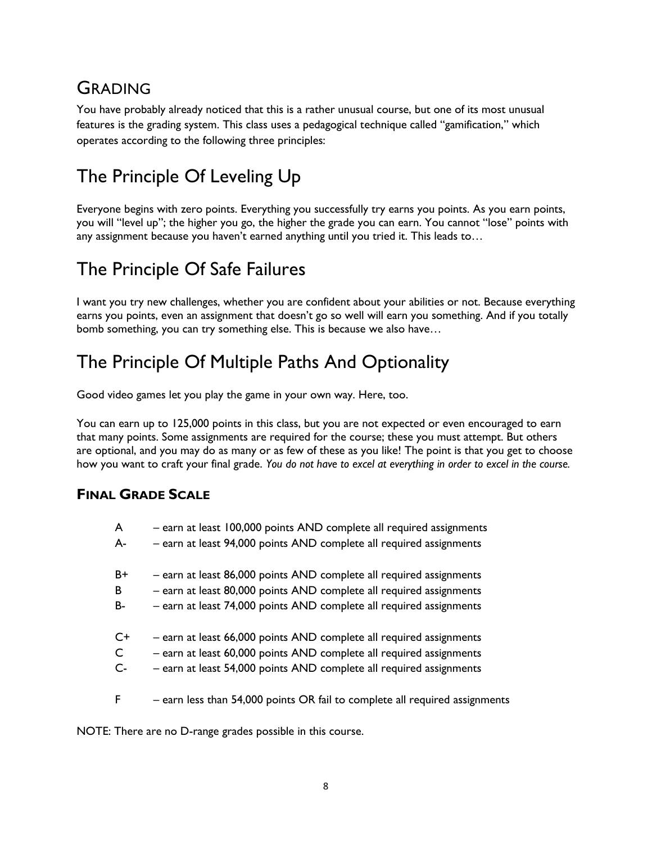# GRADING

You have probably already noticed that this is a rather unusual course, but one of its most unusual features is the grading system. This class uses a pedagogical technique called "gamification," which operates according to the following three principles:

# The Principle Of Leveling Up

Everyone begins with zero points. Everything you successfully try earns you points. As you earn points, you will "level up"; the higher you go, the higher the grade you can earn. You cannot "lose" points with any assignment because you haven't earned anything until you tried it. This leads to…

# The Principle Of Safe Failures

I want you try new challenges, whether you are confident about your abilities or not. Because everything earns you points, even an assignment that doesn't go so well will earn you something. And if you totally bomb something, you can try something else. This is because we also have…

# The Principle Of Multiple Paths And Optionality

Good video games let you play the game in your own way. Here, too.

You can earn up to 125,000 points in this class, but you are not expected or even encouraged to earn that many points. Some assignments are required for the course; these you must attempt. But others are optional, and you may do as many or as few of these as you like! The point is that you get to choose how you want to craft your final grade. *You do not have to excel at everything in order to excel in the course.*

### **FINAL GRADE SCALE**

| A            | - earn at least 100,000 points AND complete all required assignments |  |  |
|--------------|----------------------------------------------------------------------|--|--|
| A-           | - earn at least 94,000 points AND complete all required assignments  |  |  |
| $B+$         | - earn at least 86,000 points AND complete all required assignments  |  |  |
| B            | - earn at least 80,000 points AND complete all required assignments  |  |  |
| <b>B-</b>    | - earn at least 74,000 points AND complete all required assignments  |  |  |
| C+           | - earn at least 66,000 points AND complete all required assignments  |  |  |
| $\mathsf{C}$ | - earn at least 60,000 points AND complete all required assignments  |  |  |
| $C -$        | - earn at least 54,000 points AND complete all required assignments  |  |  |

F – earn less than 54,000 points OR fail to complete all required assignments

NOTE: There are no D-range grades possible in this course.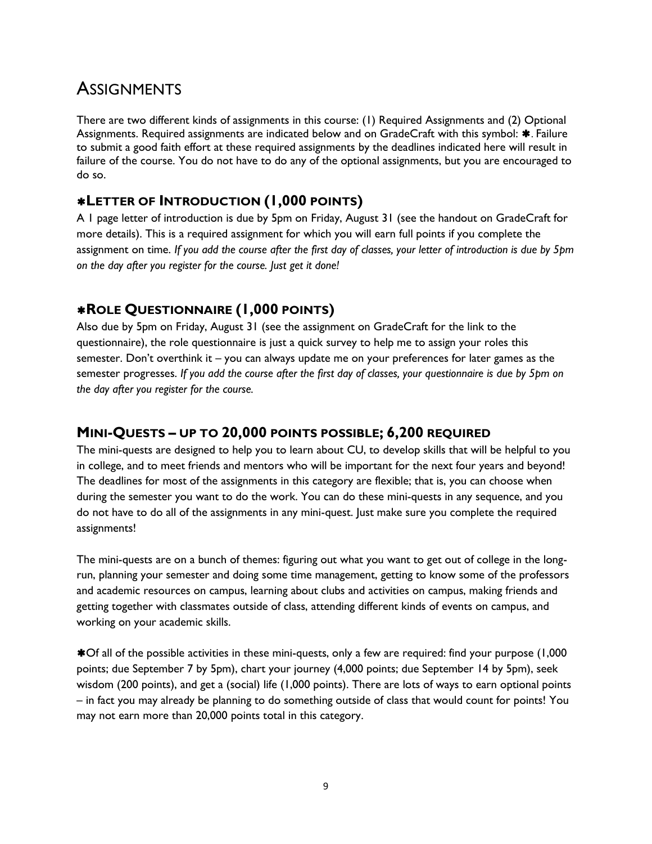# **ASSIGNMENTS**

There are two different kinds of assignments in this course: (1) Required Assignments and (2) Optional Assignments. Required assignments are indicated below and on GradeCraft with this symbol: \*. Failure to submit a good faith effort at these required assignments by the deadlines indicated here will result in failure of the course. You do not have to do any of the optional assignments, but you are encouraged to do so.

### **LETTER OF INTRODUCTION (1,000 POINTS)**

A 1 page letter of introduction is due by 5pm on Friday, August 31 (see the handout on GradeCraft for more details). This is a required assignment for which you will earn full points if you complete the assignment on time. *If you add the course after the first day of classes, your letter of introduction is due by 5pm on the day after you register for the course. Just get it done!*

### **ROLE QUESTIONNAIRE (1,000 POINTS)**

Also due by 5pm on Friday, August 31 (see the assignment on GradeCraft for the link to the questionnaire), the role questionnaire is just a quick survey to help me to assign your roles this semester. Don't overthink it – you can always update me on your preferences for later games as the semester progresses. *If you add the course after the first day of classes, your questionnaire is due by 5pm on the day after you register for the course.*

### **MINI-QUESTS – UP TO 20,000 POINTS POSSIBLE; 6,200 REQUIRED**

The mini-quests are designed to help you to learn about CU, to develop skills that will be helpful to you in college, and to meet friends and mentors who will be important for the next four years and beyond! The deadlines for most of the assignments in this category are flexible; that is, you can choose when during the semester you want to do the work. You can do these mini-quests in any sequence, and you do not have to do all of the assignments in any mini-quest. Just make sure you complete the required assignments!

The mini-quests are on a bunch of themes: figuring out what you want to get out of college in the longrun, planning your semester and doing some time management, getting to know some of the professors and academic resources on campus, learning about clubs and activities on campus, making friends and getting together with classmates outside of class, attending different kinds of events on campus, and working on your academic skills.

Of all of the possible activities in these mini-quests, only a few are required: find your purpose (1,000 points; due September 7 by 5pm), chart your journey (4,000 points; due September 14 by 5pm), seek wisdom (200 points), and get a (social) life (1,000 points). There are lots of ways to earn optional points – in fact you may already be planning to do something outside of class that would count for points! You may not earn more than 20,000 points total in this category.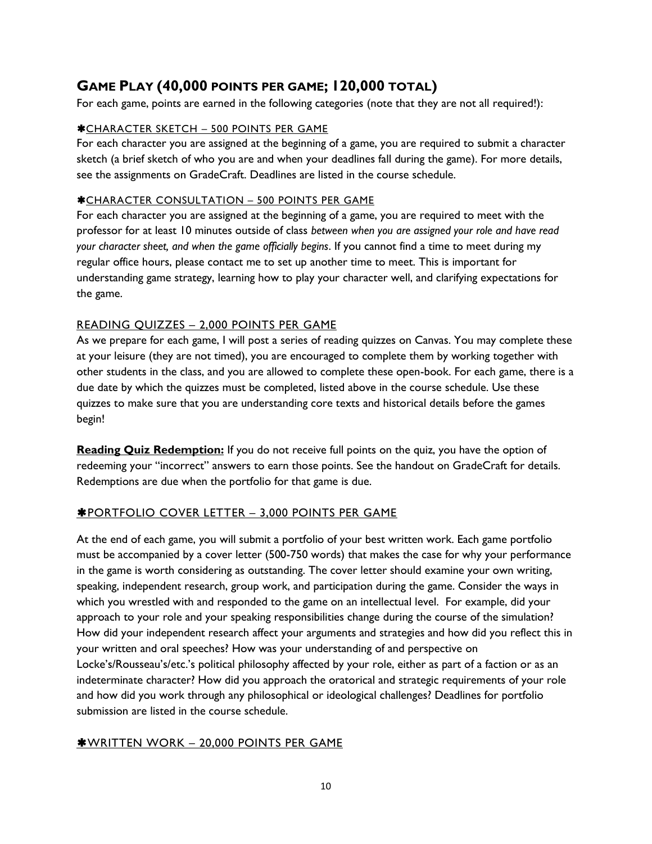### **GAME PLAY (40,000 POINTS PER GAME; 120,000 TOTAL)**

For each game, points are earned in the following categories (note that they are not all required!):

#### CHARACTER SKETCH – 500 POINTS PER GAME

For each character you are assigned at the beginning of a game, you are required to submit a character sketch (a brief sketch of who you are and when your deadlines fall during the game). For more details, see the assignments on GradeCraft. Deadlines are listed in the course schedule.

#### CHARACTER CONSULTATION – 500 POINTS PER GAME

For each character you are assigned at the beginning of a game, you are required to meet with the professor for at least 10 minutes outside of class *between when you are assigned your role and have read your character sheet, and when the game officially begins*. If you cannot find a time to meet during my regular office hours, please contact me to set up another time to meet. This is important for understanding game strategy, learning how to play your character well, and clarifying expectations for the game.

#### READING QUIZZES – 2,000 POINTS PER GAME

As we prepare for each game, I will post a series of reading quizzes on Canvas. You may complete these at your leisure (they are not timed), you are encouraged to complete them by working together with other students in the class, and you are allowed to complete these open-book. For each game, there is a due date by which the quizzes must be completed, listed above in the course schedule. Use these quizzes to make sure that you are understanding core texts and historical details before the games begin!

**Reading Quiz Redemption:** If you do not receive full points on the quiz, you have the option of redeeming your "incorrect" answers to earn those points. See the handout on GradeCraft for details. Redemptions are due when the portfolio for that game is due.

#### PORTFOLIO COVER LETTER – 3,000 POINTS PER GAME

At the end of each game, you will submit a portfolio of your best written work. Each game portfolio must be accompanied by a cover letter (500-750 words) that makes the case for why your performance in the game is worth considering as outstanding. The cover letter should examine your own writing, speaking, independent research, group work, and participation during the game. Consider the ways in which you wrestled with and responded to the game on an intellectual level. For example, did your approach to your role and your speaking responsibilities change during the course of the simulation? How did your independent research affect your arguments and strategies and how did you reflect this in your written and oral speeches? How was your understanding of and perspective on Locke's/Rousseau's/etc.'s political philosophy affected by your role, either as part of a faction or as an indeterminate character? How did you approach the oratorical and strategic requirements of your role and how did you work through any philosophical or ideological challenges? Deadlines for portfolio submission are listed in the course schedule.

#### WRITTEN WORK – 20,000 POINTS PER GAME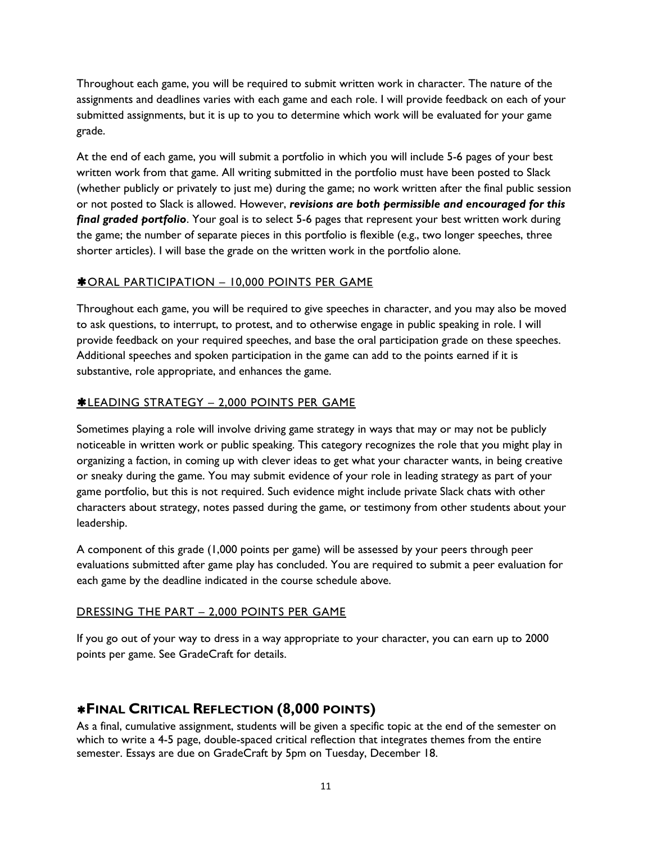Throughout each game, you will be required to submit written work in character. The nature of the assignments and deadlines varies with each game and each role. I will provide feedback on each of your submitted assignments, but it is up to you to determine which work will be evaluated for your game grade.

At the end of each game, you will submit a portfolio in which you will include 5-6 pages of your best written work from that game. All writing submitted in the portfolio must have been posted to Slack (whether publicly or privately to just me) during the game; no work written after the final public session or not posted to Slack is allowed. However, *revisions are both permissible and encouraged for this final graded portfolio*. Your goal is to select 5-6 pages that represent your best written work during the game; the number of separate pieces in this portfolio is flexible (e.g., two longer speeches, three shorter articles). I will base the grade on the written work in the portfolio alone.

#### **\*ORAL PARTICIPATION - 10,000 POINTS PER GAME**

Throughout each game, you will be required to give speeches in character, and you may also be moved to ask questions, to interrupt, to protest, and to otherwise engage in public speaking in role. I will provide feedback on your required speeches, and base the oral participation grade on these speeches. Additional speeches and spoken participation in the game can add to the points earned if it is substantive, role appropriate, and enhances the game.

#### LEADING STRATEGY – 2,000 POINTS PER GAME

Sometimes playing a role will involve driving game strategy in ways that may or may not be publicly noticeable in written work or public speaking. This category recognizes the role that you might play in organizing a faction, in coming up with clever ideas to get what your character wants, in being creative or sneaky during the game. You may submit evidence of your role in leading strategy as part of your game portfolio, but this is not required. Such evidence might include private Slack chats with other characters about strategy, notes passed during the game, or testimony from other students about your leadership.

A component of this grade (1,000 points per game) will be assessed by your peers through peer evaluations submitted after game play has concluded. You are required to submit a peer evaluation for each game by the deadline indicated in the course schedule above.

#### DRESSING THE PART – 2,000 POINTS PER GAME

If you go out of your way to dress in a way appropriate to your character, you can earn up to 2000 points per game. See GradeCraft for details.

### **FINAL CRITICAL REFLECTION (8,000 POINTS)**

As a final, cumulative assignment, students will be given a specific topic at the end of the semester on which to write a 4-5 page, double-spaced critical reflection that integrates themes from the entire semester. Essays are due on GradeCraft by 5pm on Tuesday, December 18.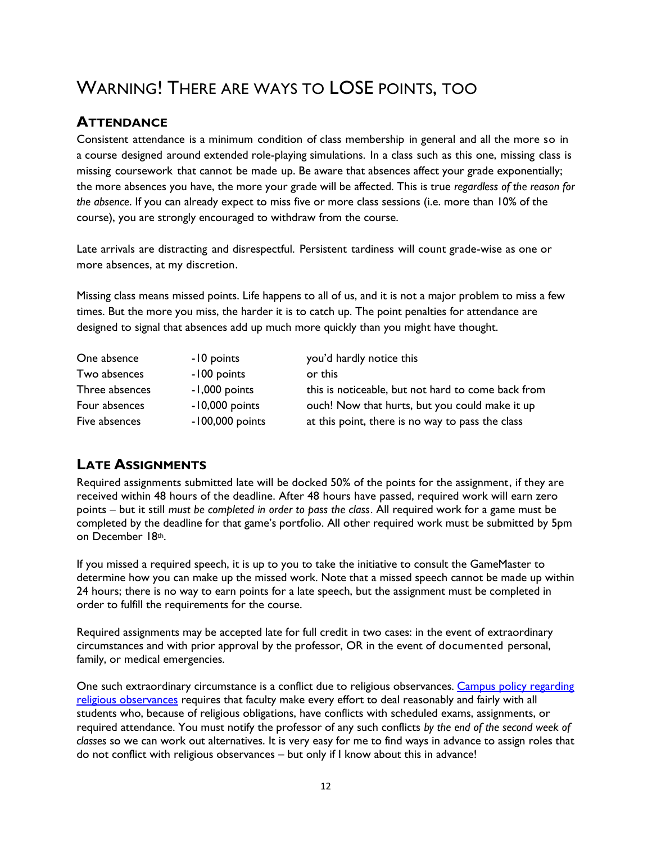# WARNING! THERE ARE WAYS TO LOSE POINTS, TOO

### **ATTENDANCE**

Consistent attendance is a minimum condition of class membership in general and all the more so in a course designed around extended role-playing simulations. In a class such as this one, missing class is missing coursework that cannot be made up. Be aware that absences affect your grade exponentially; the more absences you have, the more your grade will be affected. This is true *regardless of the reason for the absence*. If you can already expect to miss five or more class sessions (i.e. more than 10% of the course), you are strongly encouraged to withdraw from the course.

Late arrivals are distracting and disrespectful. Persistent tardiness will count grade-wise as one or more absences, at my discretion.

Missing class means missed points. Life happens to all of us, and it is not a major problem to miss a few times. But the more you miss, the harder it is to catch up. The point penalties for attendance are designed to signal that absences add up much more quickly than you might have thought.

| One absence    | -10 points        | you'd hardly notice this                           |
|----------------|-------------------|----------------------------------------------------|
| Two absences   | -100 points       | or this                                            |
| Three absences | -1,000 points     | this is noticeable, but not hard to come back from |
| Four absences  | $-10,000$ points  | ouch! Now that hurts, but you could make it up     |
| Five absences  | $-100,000$ points | at this point, there is no way to pass the class   |

### **LATE ASSIGNMENTS**

Required assignments submitted late will be docked 50% of the points for the assignment, if they are received within 48 hours of the deadline. After 48 hours have passed, required work will earn zero points – but it still *must be completed in order to pass the class*. All required work for a game must be completed by the deadline for that game's portfolio. All other required work must be submitted by 5pm on December 18th.

If you missed a required speech, it is up to you to take the initiative to consult the GameMaster to determine how you can make up the missed work. Note that a missed speech cannot be made up within 24 hours; there is no way to earn points for a late speech, but the assignment must be completed in order to fulfill the requirements for the course.

Required assignments may be accepted late for full credit in two cases: in the event of extraordinary circumstances and with prior approval by the professor, OR in the event of documented personal, family, or medical emergencies.

One such extraordinary circumstance is a conflict due to religious observances. Campus policy regarding [religious observances](http://www.colorado.edu/policies/observance-religious-holidays-and-absences-classes-andor-exams) requires that faculty make every effort to deal reasonably and fairly with all students who, because of religious obligations, have conflicts with scheduled exams, assignments, or required attendance. You must notify the professor of any such conflicts *by the end of the second week of classes* so we can work out alternatives. It is very easy for me to find ways in advance to assign roles that do not conflict with religious observances – but only if I know about this in advance!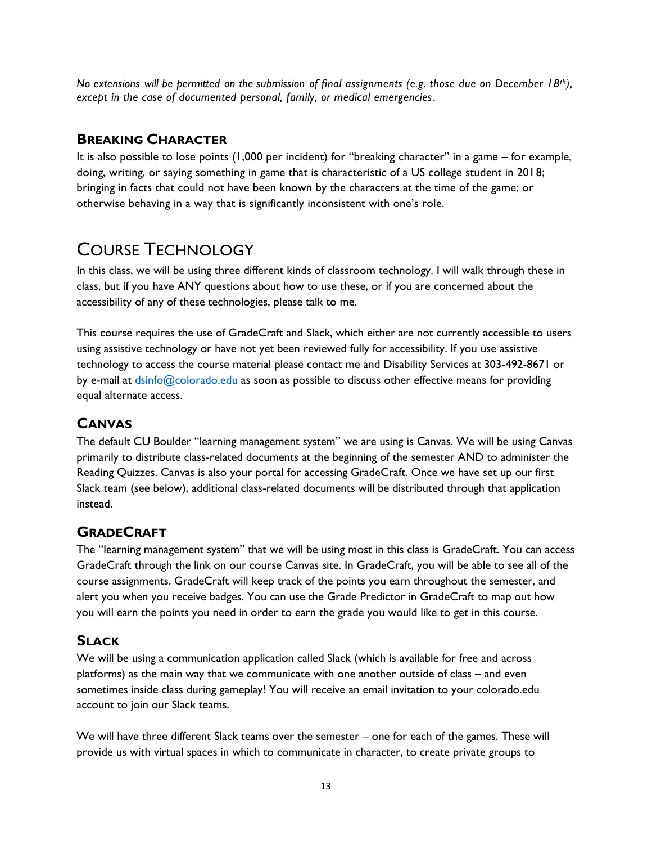*No extensions will be permitted on the submission of final assignments (e.g. those due on December 18th), except in the case of documented personal, family, or medical emergencies.* 

### **BREAKING CHARACTER**

It is also possible to lose points (1,000 per incident) for "breaking character" in a game – for example, doing, writing, or saying something in game that is characteristic of a US college student in 2018; bringing in facts that could not have been known by the characters at the time of the game; or otherwise behaving in a way that is significantly inconsistent with one's role.

# COURSE TECHNOLOGY

In this class, we will be using three different kinds of classroom technology. I will walk through these in class, but if you have ANY questions about how to use these, or if you are concerned about the accessibility of any of these technologies, please talk to me.

This course requires the use of GradeCraft and Slack, which either are not currently accessible to users using assistive technology or have not yet been reviewed fully for accessibility. If you use assistive technology to access the course material please contact me and Disability Services at 303-492-8671 or by e-mail at [dsinfo@colorado.edu](mailto:dsinfo@colorado.edu) as soon as possible to discuss other effective means for providing equal alternate access.

### **CANVAS**

The default CU Boulder "learning management system" we are using is Canvas. We will be using Canvas primarily to distribute class-related documents at the beginning of the semester AND to administer the Reading Quizzes. Canvas is also your portal for accessing GradeCraft. Once we have set up our first Slack team (see below), additional class-related documents will be distributed through that application instead.

### **GRADECRAFT**

The "learning management system" that we will be using most in this class is GradeCraft. You can access GradeCraft through the link on our course Canvas site. In GradeCraft, you will be able to see all of the course assignments. GradeCraft will keep track of the points you earn throughout the semester, and alert you when you receive badges. You can use the Grade Predictor in GradeCraft to map out how you will earn the points you need in order to earn the grade you would like to get in this course.

### **SLACK**

We will be using a communication application called Slack (which is available for free and across platforms) as the main way that we communicate with one another outside of class – and even sometimes inside class during gameplay! You will receive an email invitation to your colorado.edu account to join our Slack teams.

We will have three different Slack teams over the semester – one for each of the games. These will provide us with virtual spaces in which to communicate in character, to create private groups to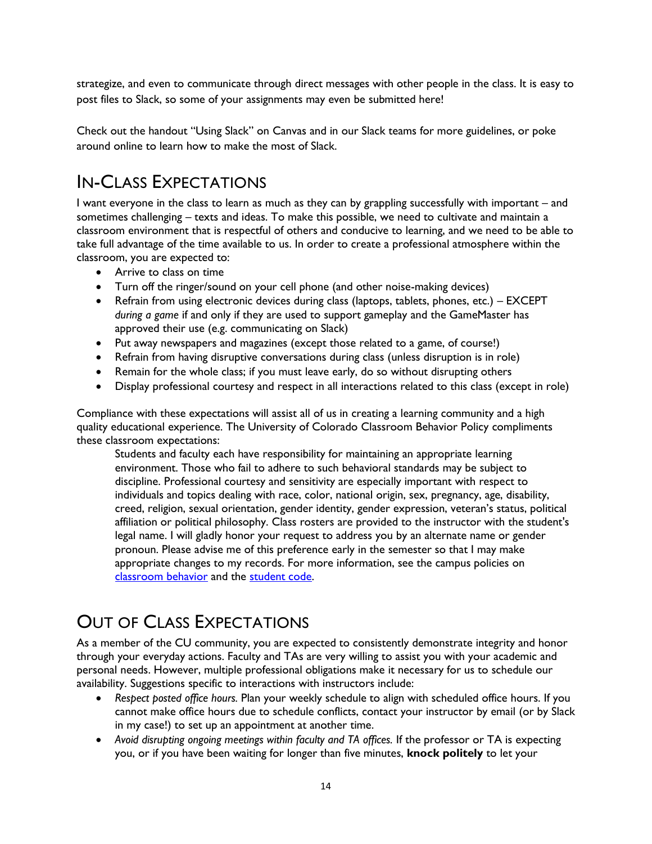strategize, and even to communicate through direct messages with other people in the class. It is easy to post files to Slack, so some of your assignments may even be submitted here!

Check out the handout "Using Slack" on Canvas and in our Slack teams for more guidelines, or poke around online to learn how to make the most of Slack.

# IN-CLASS EXPECTATIONS

I want everyone in the class to learn as much as they can by grappling successfully with important – and sometimes challenging – texts and ideas. To make this possible, we need to cultivate and maintain a classroom environment that is respectful of others and conducive to learning, and we need to be able to take full advantage of the time available to us. In order to create a professional atmosphere within the classroom, you are expected to:

- Arrive to class on time
- Turn off the ringer/sound on your cell phone (and other noise-making devices)
- Refrain from using electronic devices during class (laptops, tablets, phones, etc.) EXCEPT *during a game* if and only if they are used to support gameplay and the GameMaster has approved their use (e.g. communicating on Slack)
- Put away newspapers and magazines (except those related to a game, of course!)
- Refrain from having disruptive conversations during class (unless disruption is in role)
- Remain for the whole class; if you must leave early, do so without disrupting others
- Display professional courtesy and respect in all interactions related to this class (except in role)

Compliance with these expectations will assist all of us in creating a learning community and a high quality educational experience. The University of Colorado Classroom Behavior Policy compliments these classroom expectations:

Students and faculty each have responsibility for maintaining an appropriate learning environment. Those who fail to adhere to such behavioral standards may be subject to discipline. Professional courtesy and sensitivity are especially important with respect to individuals and topics dealing with race, color, national origin, sex, pregnancy, age, disability, creed, religion, sexual orientation, gender identity, gender expression, veteran's status, political affiliation or political philosophy. Class rosters are provided to the instructor with the student's legal name. I will gladly honor your request to address you by an alternate name or gender pronoun. Please advise me of this preference early in the semester so that I may make appropriate changes to my records. For more information, see the campus policies on [classroom behavior](https://www.colorado.edu/policies/student-classroom-and-course-related-behavior) and the [student code.](https://www.colorado.edu/osccr/)

# OUT OF CLASS EXPECTATIONS

As a member of the CU community, you are expected to consistently demonstrate integrity and honor through your everyday actions. Faculty and TAs are very willing to assist you with your academic and personal needs. However, multiple professional obligations make it necessary for us to schedule our availability. Suggestions specific to interactions with instructors include:

- *Respect posted office hours.* Plan your weekly schedule to align with scheduled office hours. If you cannot make office hours due to schedule conflicts, contact your instructor by email (or by Slack in my case!) to set up an appointment at another time.
- *Avoid disrupting ongoing meetings within faculty and TA offices.* If the professor or TA is expecting you, or if you have been waiting for longer than five minutes, **knock politely** to let your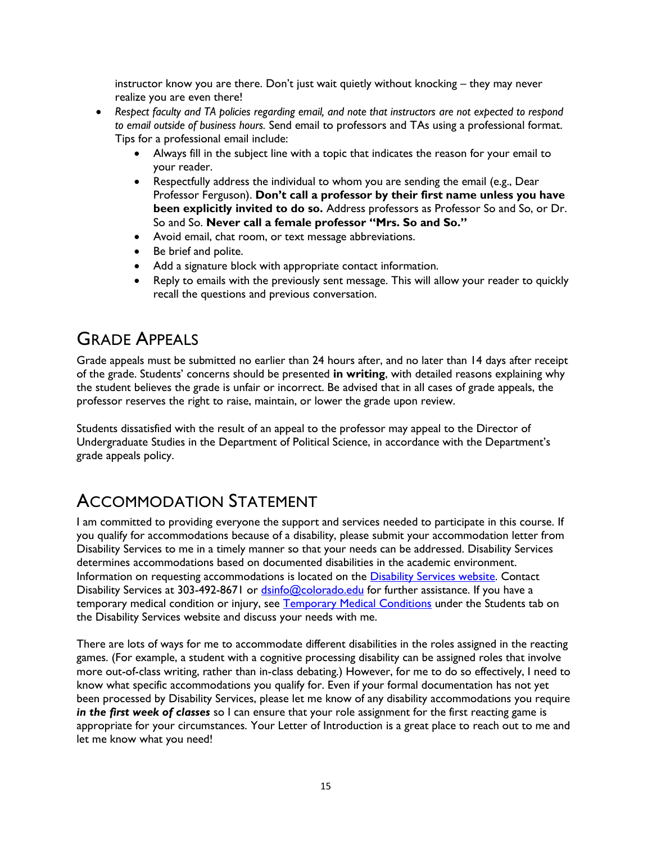instructor know you are there. Don't just wait quietly without knocking – they may never realize you are even there!

- *Respect faculty and TA policies regarding email, and note that instructors are not expected to respond to email outside of business hours.* Send email to professors and TAs using a professional format. Tips for a professional email include:
	- Always fill in the subject line with a topic that indicates the reason for your email to your reader.
	- Respectfully address the individual to whom you are sending the email (e.g., Dear Professor Ferguson). **Don't call a professor by their first name unless you have been explicitly invited to do so.** Address professors as Professor So and So, or Dr. So and So. **Never call a female professor "Mrs. So and So."**
	- Avoid email, chat room, or text message abbreviations.
	- Be brief and polite.
	- Add a signature block with appropriate contact information.
	- Reply to emails with the previously sent message. This will allow your reader to quickly recall the questions and previous conversation.

# GRADE APPEALS

Grade appeals must be submitted no earlier than 24 hours after, and no later than 14 days after receipt of the grade. Students' concerns should be presented **in writing**, with detailed reasons explaining why the student believes the grade is unfair or incorrect. Be advised that in all cases of grade appeals, the professor reserves the right to raise, maintain, or lower the grade upon review.

Students dissatisfied with the result of an appeal to the professor may appeal to the Director of Undergraduate Studies in the Department of Political Science, in accordance with the Department's grade appeals policy.

### ACCOMMODATION STATEMENT

I am committed to providing everyone the support and services needed to participate in this course. If you qualify for accommodations because of a disability, please submit your accommodation letter from Disability Services to me in a timely manner so that your needs can be addressed. Disability Services determines accommodations based on documented disabilities in the academic environment. Information on requesting accommodations is located on the [Disability Services website.](http://www.colorado.edu/disabilityservices/students) Contact Disability Services at 303-492-8671 or [dsinfo@colorado.edu](mailto:dsinfo@colorado.edu) for further assistance. If you have a temporary medical condition or injury, see [Temporary Medical Conditions](http://www.colorado.edu/disabilityservices/students/temporary-medical-conditions) under the Students tab on the Disability Services website and discuss your needs with me.

There are lots of ways for me to accommodate different disabilities in the roles assigned in the reacting games. (For example, a student with a cognitive processing disability can be assigned roles that involve more out-of-class writing, rather than in-class debating.) However, for me to do so effectively, I need to know what specific accommodations you qualify for. Even if your formal documentation has not yet been processed by Disability Services, please let me know of any disability accommodations you require *in the first week of classes* so I can ensure that your role assignment for the first reacting game is appropriate for your circumstances. Your Letter of Introduction is a great place to reach out to me and let me know what you need!